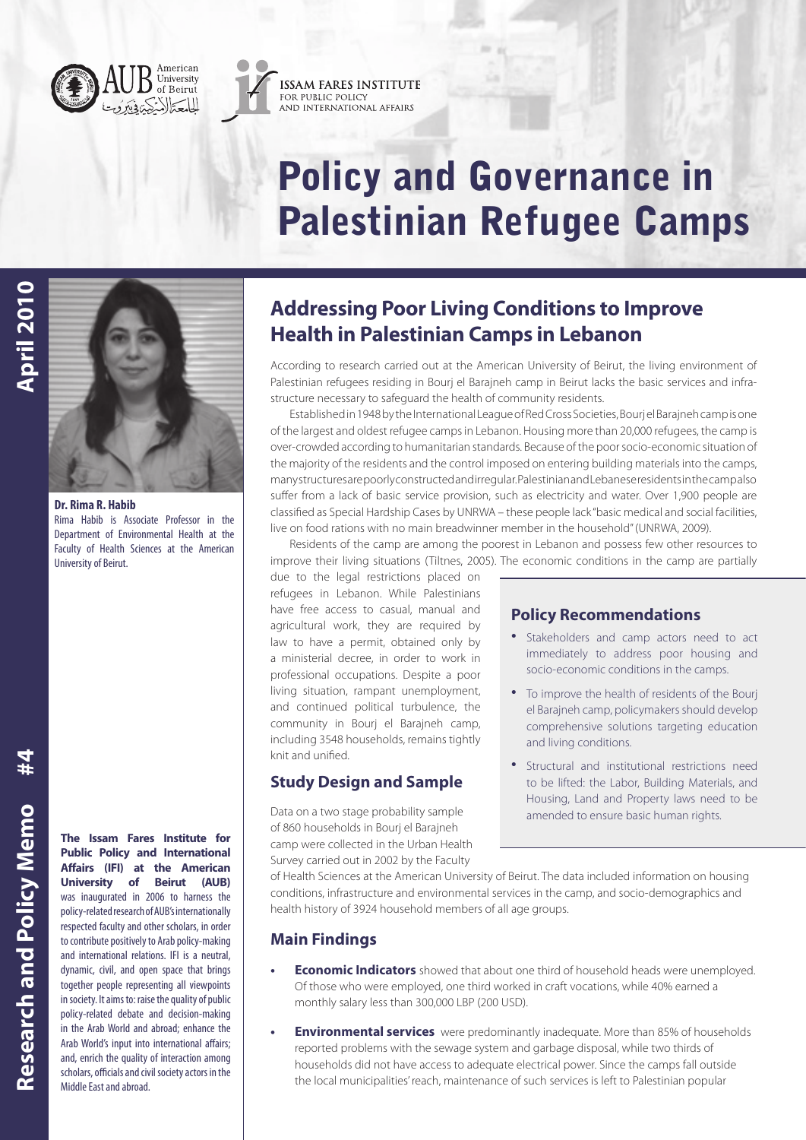



# Policy and Governance in Palestinian Refugee Camps



**Dr. Rima R. Habib** Rima Habib is Associate Professor in the Department of Environmental Health at the Faculty of Health Sciences at the American University of Beirut.

**Research and Policy Memo Research and Policy Memo**

 $#4$ 

**The Issam Fares Institute for Public Policy and International Affairs (IFI) at the American University of Beirut (AUB)** was inaugurated in 2006 to harness the policy-related research of AUB's internationally respected faculty and other scholars, in order to contribute positively to Arab policy-making and international relations. IFI is a neutral, dynamic, civil, and open space that brings together people representing all viewpoints in society. It aims to: raise the quality of public policy-related debate and decision-making in the Arab World and abroad; enhance the Arab World's input into international affairs; and, enrich the quality of interaction among scholars, officials and civil society actors in the Middle East and abroad.

# **Addressing Poor Living Conditions to Improve Health in Palestinian Camps in Lebanon**

According to research carried out at the American University of Beirut, the living environment of Palestinian refugees residing in Bourj el Barajneh camp in Beirut lacks the basic services and infrastructure necessary to safeguard the health of community residents.

Established in 1948 by the International League of Red Cross Societies, Bourj el Barajneh camp is one of the largest and oldest refugee camps in Lebanon. Housing more than 20,000 refugees, the camp is over-crowded according to humanitarian standards. Because of the poor socio-economic situation of the majority of the residents and the control imposed on entering building materials into the camps, many structures are poorly constructed and irregular. Palestinian and Lebanese residents in the camp also suffer from a lack of basic service provision, such as electricity and water. Over 1,900 people are classified as Special Hardship Cases by UNRWA – these people lack "basic medical and social facilities, live on food rations with no main breadwinner member in the household" (UNRWA, 2009).

Residents of the camp are among the poorest in Lebanon and possess few other resources to improve their living situations (Tiltnes, 2005). The economic conditions in the camp are partially

due to the legal restrictions placed on refugees in Lebanon. While Palestinians have free access to casual, manual and agricultural work, they are required by law to have a permit, obtained only by a ministerial decree, in order to work in professional occupations. Despite a poor living situation, rampant unemployment, and continued political turbulence, the community in Bourj el Barajneh camp, including 3548 households, remains tightly knit and unified.

# **Study Design and Sample**

Data on a two stage probability sample of 860 households in Bourj el Barajneh camp were collected in the Urban Health Survey carried out in 2002 by the Faculty

## **Policy Recommendations**

- Stakeholders and camp actors need to act immediately to address poor housing and socio-economic conditions in the camps.
- To improve the health of residents of the Bourj el Barajneh camp, policymakers should develop comprehensive solutions targeting education and living conditions.
- Structural and institutional restrictions need to be lifted: the Labor, Building Materials, and Housing, Land and Property laws need to be amended to ensure basic human rights.

of Health Sciences at the American University of Beirut. The data included information on housing conditions, infrastructure and environmental services in the camp, and socio-demographics and health history of 3924 household members of all age groups.

# **Main Findings**

- **Economic Indicators** showed that about one third of household heads were unemployed. Of those who were employed, one third worked in craft vocations, while 40% earned a monthly salary less than 300,000 LBP (200 USD).
- **Environmental services** were predominantly inadequate. More than 85% of households reported problems with the sewage system and garbage disposal, while two thirds of households did not have access to adequate electrical power. Since the camps fall outside the local municipalities' reach, maintenance of such services is left to Palestinian popular